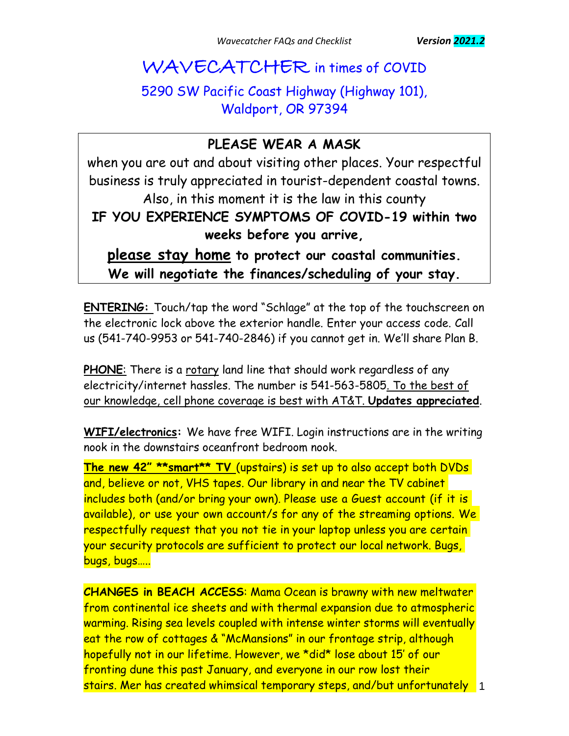## WAVECATCHER in times of COVID

### 5290 SW Pacific Coast Highway (Highway 101), Waldport, OR 97394

### **PLEASE WEAR A MASK**

when you are out and about visiting other places. Your respectful business is truly appreciated in tourist-dependent coastal towns. Also, in this moment it is the law in this county **IF YOU EXPERIENCE SYMPTOMS OF COVID-19 within two weeks before you arrive,**

**please stay home to protect our coastal communities. We will negotiate the finances/scheduling of your stay.**

**ENTERING:** Touch/tap the word "Schlage" at the top of the touchscreen on the electronic lock above the exterior handle. Enter your access code. Call us (541-740-9953 or 541-740-2846) if you cannot get in. We'll share Plan B.

**PHONE**: There is a rotary land line that should work regardless of any electricity/internet hassles. The number is 541-563-5805. To the best of our knowledge, cell phone coverage is best with AT&T. **Updates appreciated**.

**WIFI/electronics:** We have free WIFI. Login instructions are in the writing nook in the downstairs oceanfront bedroom nook.

**The new 42" \*\*smart\*\* TV** (upstairs) is set up to also accept both DVDs and, believe or not, VHS tapes. Our library in and near the TV cabinet includes both (and/or bring your own). Please use a Guest account (if it is available), or use your own account/s for any of the streaming options. We respectfully request that you not tie in your laptop unless you are certain your security protocols are sufficient to protect our local network. Bugs, bugs, bugs…..

1 stairs. Mer has created whimsical temporary steps, and/but unfortunately **CHANGES in BEACH ACCESS**: Mama Ocean is brawny with new meltwater from continental ice sheets and with thermal expansion due to atmospheric warming. Rising sea levels coupled with intense winter storms will eventually eat the row of cottages & "McMansions" in our frontage strip, although hopefully not in our lifetime. However, we \*did\* lose about 15' of our fronting dune this past January, and everyone in our row lost their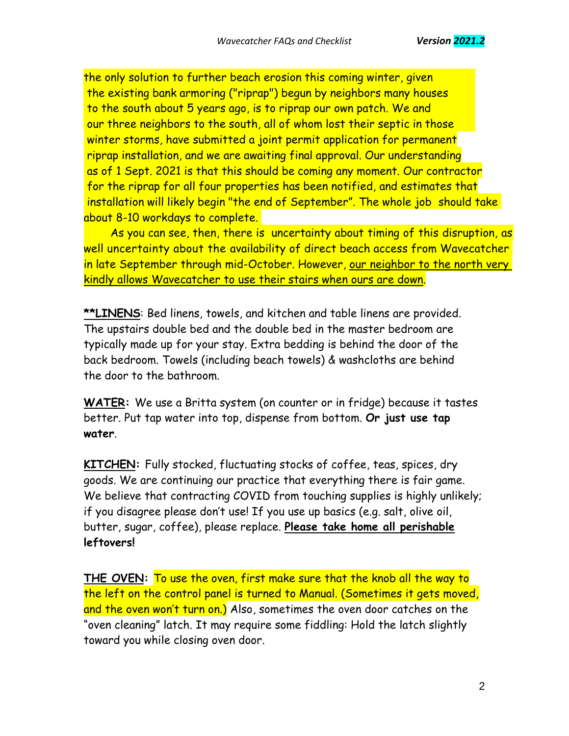winter storms, have submitted a joint permit application for permanent riprap installation, and we are awaiting final approval. Our understanding as of 1 Sept. 2021 is that this should be coming any moment. Our contractor for the riprap for all four properties has been notified, and estimates that installation will likely begin "the end of September". The whole job should take about 8-10 workdays to complete. the only solution to further beach erosion this coming winter, given the existing bank armoring ("riprap") begun by neighbors many houses to the south about 5 years ago, is to riprap our own patch. We and our three neighbors to the south, all of whom lost their septic in those

As you can see, then, there is uncertainty about timing of this disruption, as well uncertainty about the availability of direct beach access from Wavecatcher in late September through mid-October. However, our neighbor to the north very kindly allows Wavecatcher to use their stairs when ours are down.

**\*\*LINENS**: Bed linens, towels, and kitchen and table linens are provided. The upstairs double bed and the double bed in the master bedroom are typically made up for your stay. Extra bedding is behind the door of the back bedroom. Towels (including beach towels) & washcloths are behind the door to the bathroom.

**WATER:** We use a Britta system (on counter or in fridge) because it tastes better. Put tap water into top, dispense from bottom. **Or just use tap water**.

**KITCHEN:** Fully stocked, fluctuating stocks of coffee, teas, spices, dry goods. We are continuing our practice that everything there is fair game. We believe that contracting COVID from touching supplies is highly unlikely; if you disagree please don't use! If you use up basics (e.g. salt, olive oil, butter, sugar, coffee), please replace. **Please take home all perishable leftovers!**

**THE OVEN:** To use the oven, first make sure that the knob all the way to the left on the control panel is turned to Manual. (Sometimes it gets moved, and the oven won't turn on.) Also, sometimes the oven door catches on the "oven cleaning" latch. It may require some fiddling: Hold the latch slightly toward you while closing oven door.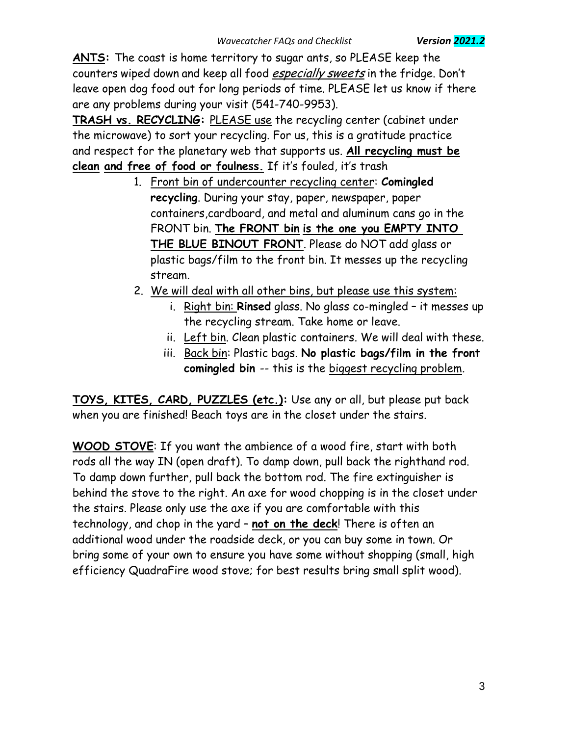**ANTS:** The coast is home territory to sugar ants, so PLEASE keep the counters wiped down and keep all food especially sweets in the fridge. Don't leave open dog food out for long periods of time. PLEASE let us know if there are any problems during your visit (541-740-9953).

**TRASH vs. RECYCLING:** PLEASE use the recycling center (cabinet under the microwave) to sort your recycling. For us, this is a gratitude practice and respect for the planetary web that supports us. **All recycling must be clean and free of food or foulness.** If it's fouled, it's trash

- 1. Front bin of undercounter recycling center: **Comingled recycling**. During your stay, paper, newspaper, paper containers,cardboard, and metal and aluminum cans go in the FRONT bin. **The FRONT bin is the one you EMPTY INTO THE BLUE BINOUT FRONT**. Please do NOT add glass or plastic bags/film to the front bin. It messes up the recycling stream.
- 2. We will deal with all other bins, but please use this system:
	- i. Right bin: **Rinsed** glass. No glass co-mingled it messes up the recycling stream. Take home or leave.
	- ii. Left bin. Clean plastic containers. We will deal with these.
	- iii. Back bin: Plastic bags. **No plastic bags/film in the front comingled bin** -- this is the biggest recycling problem.

**TOYS, KITES, CARD, PUZZLES (etc.):** Use any or all, but please put back when you are finished! Beach toys are in the closet under the stairs.

**WOOD STOVE**: If you want the ambience of a wood fire, start with both rods all the way IN (open draft). To damp down, pull back the righthand rod. To damp down further, pull back the bottom rod. The fire extinguisher is behind the stove to the right. An axe for wood chopping is in the closet under the stairs. Please only use the axe if you are comfortable with this technology, and chop in the yard – **not on the deck**! There is often an additional wood under the roadside deck, or you can buy some in town. Or bring some of your own to ensure you have some without shopping (small, high efficiency QuadraFire wood stove; for best results bring small split wood).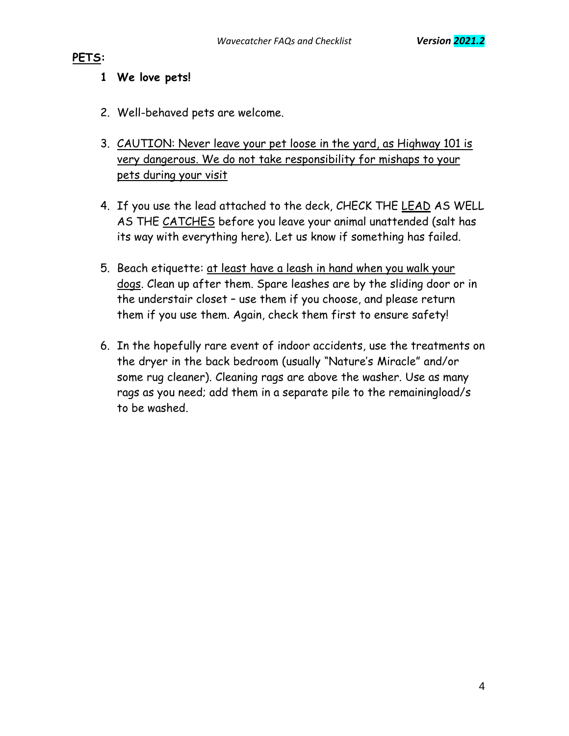#### **PETS:**

#### **1 We love pets!**

- 2. Well-behaved pets are welcome.
- 3. CAUTION: Never leave your pet loose in the yard, as Highway 101 is very dangerous. We do not take responsibility for mishaps to your pets during your visit
- 4. If you use the lead attached to the deck, CHECK THE LEAD AS WELL AS THE CATCHES before you leave your animal unattended (salt has its way with everything here). Let us know if something has failed.
- 5. Beach etiquette: at least have a leash in hand when you walk your dogs. Clean up after them. Spare leashes are by the sliding door or in the understair closet – use them if you choose, and please return them if you use them. Again, check them first to ensure safety!
- 6. In the hopefully rare event of indoor accidents, use the treatments on the dryer in the back bedroom (usually "Nature's Miracle" and/or some rug cleaner). Cleaning rags are above the washer. Use as many rags as you need; add them in a separate pile to the remainingload/s to be washed.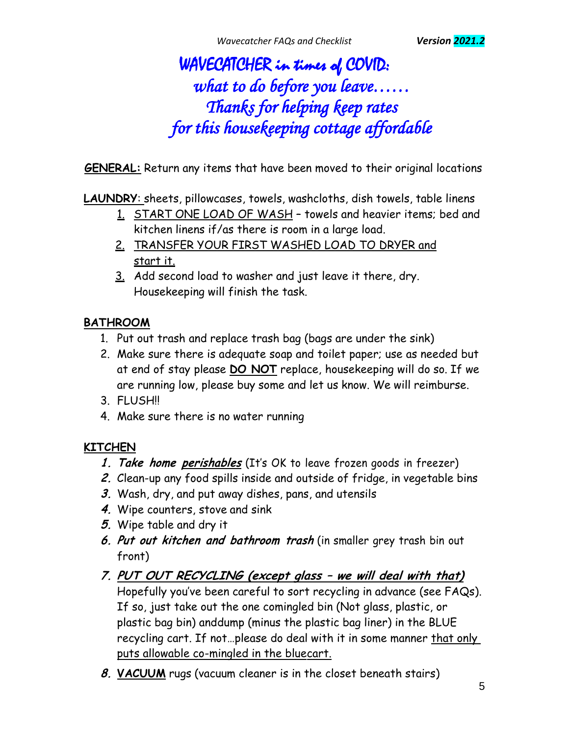# WAVECATCHER in times of COVID: *what to do before you leave…… Thanks for helping keep rates for this housekeeping cottage affordable*

**GENERAL:** Return any items that have been moved to their original locations

**LAUNDRY**: sheets, pillowcases, towels, washcloths, dish towels, table linens

- 1. START ONE LOAD OF WASH towels and heavier items; bed and kitchen linens if/as there is room in a large load.
- 2. TRANSFER YOUR FIRST WASHED LOAD TO DRYER and start it.
- 3. Add second load to washer and just leave it there, dry. Housekeeping will finish the task.

#### **BATHROOM**

- 1. Put out trash and replace trash bag (bags are under the sink)
- 2. Make sure there is adequate soap and toilet paper; use as needed but at end of stay please **DO NOT** replace, housekeeping will do so. If we are running low, please buy some and let us know. We will reimburse.
- 3. FLUSH!!
- 4. Make sure there is no water running

#### **KITCHEN**

- **1. Take home perishables** (It's OK to leave frozen goods in freezer)
- **2.** Clean-up any food spills inside and outside of fridge, in vegetable bins
- **3.** Wash, dry, and put away dishes, pans, and utensils
- **4.** Wipe counters, stove and sink
- **5.** Wipe table and dry it
- **6. Put out kitchen and bathroom trash** (in smaller grey trash bin out front)
- **7. PUT OUT RECYCLING (except glass – we will deal with that)** Hopefully you've been careful to sort recycling in advance (see FAQs). If so, just take out the one comingled bin (Not glass, plastic, or plastic bag bin) anddump (minus the plastic bag liner) in the BLUE recycling cart. If not…please do deal with it in some manner that only puts allowable co-mingled in the bluecart.
- **8. VACUUM** rugs (vacuum cleaner is in the closet beneath stairs)